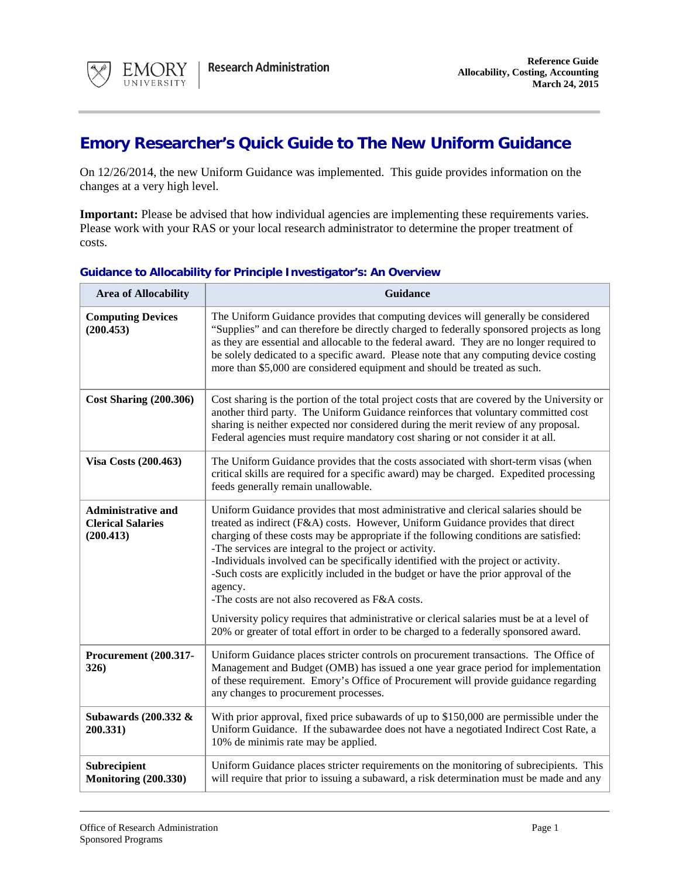

## **Emory Researcher's Quick Guide to The New Uniform Guidance**

On 12/26/2014, the new Uniform Guidance was implemented. This guide provides information on the changes at a very high level.

**Important:** Please be advised that how individual agencies are implementing these requirements varies. Please work with your RAS or your local research administrator to determine the proper treatment of costs.

| <b>Area of Allocability</b>                                        | <b>Guidance</b>                                                                                                                                                                                                                                                                                                                                                                                                                                                                                                                                                                                                                                                                                                                                           |
|--------------------------------------------------------------------|-----------------------------------------------------------------------------------------------------------------------------------------------------------------------------------------------------------------------------------------------------------------------------------------------------------------------------------------------------------------------------------------------------------------------------------------------------------------------------------------------------------------------------------------------------------------------------------------------------------------------------------------------------------------------------------------------------------------------------------------------------------|
| <b>Computing Devices</b><br>(200.453)                              | The Uniform Guidance provides that computing devices will generally be considered<br>"Supplies" and can therefore be directly charged to federally sponsored projects as long<br>as they are essential and allocable to the federal award. They are no longer required to<br>be solely dedicated to a specific award. Please note that any computing device costing<br>more than \$5,000 are considered equipment and should be treated as such.                                                                                                                                                                                                                                                                                                          |
| <b>Cost Sharing (200.306)</b>                                      | Cost sharing is the portion of the total project costs that are covered by the University or<br>another third party. The Uniform Guidance reinforces that voluntary committed cost<br>sharing is neither expected nor considered during the merit review of any proposal.<br>Federal agencies must require mandatory cost sharing or not consider it at all.                                                                                                                                                                                                                                                                                                                                                                                              |
| <b>Visa Costs (200.463)</b>                                        | The Uniform Guidance provides that the costs associated with short-term visas (when<br>critical skills are required for a specific award) may be charged. Expedited processing<br>feeds generally remain unallowable.                                                                                                                                                                                                                                                                                                                                                                                                                                                                                                                                     |
| <b>Administrative and</b><br><b>Clerical Salaries</b><br>(200.413) | Uniform Guidance provides that most administrative and clerical salaries should be<br>treated as indirect (F&A) costs. However, Uniform Guidance provides that direct<br>charging of these costs may be appropriate if the following conditions are satisfied:<br>-The services are integral to the project or activity.<br>-Individuals involved can be specifically identified with the project or activity.<br>-Such costs are explicitly included in the budget or have the prior approval of the<br>agency.<br>-The costs are not also recovered as F&A costs.<br>University policy requires that administrative or clerical salaries must be at a level of<br>20% or greater of total effort in order to be charged to a federally sponsored award. |
| Procurement (200.317-<br>326)                                      | Uniform Guidance places stricter controls on procurement transactions. The Office of<br>Management and Budget (OMB) has issued a one year grace period for implementation<br>of these requirement. Emory's Office of Procurement will provide guidance regarding<br>any changes to procurement processes.                                                                                                                                                                                                                                                                                                                                                                                                                                                 |
| Subawards (200.332 &<br>200.331)                                   | With prior approval, fixed price subawards of up to \$150,000 are permissible under the<br>Uniform Guidance. If the subawardee does not have a negotiated Indirect Cost Rate, a<br>10% de minimis rate may be applied.                                                                                                                                                                                                                                                                                                                                                                                                                                                                                                                                    |
| Subrecipient<br><b>Monitoring (200.330)</b>                        | Uniform Guidance places stricter requirements on the monitoring of subrecipients. This<br>will require that prior to issuing a subaward, a risk determination must be made and any                                                                                                                                                                                                                                                                                                                                                                                                                                                                                                                                                                        |

## **Guidance to Allocability for Principle Investigator's: An Overview**